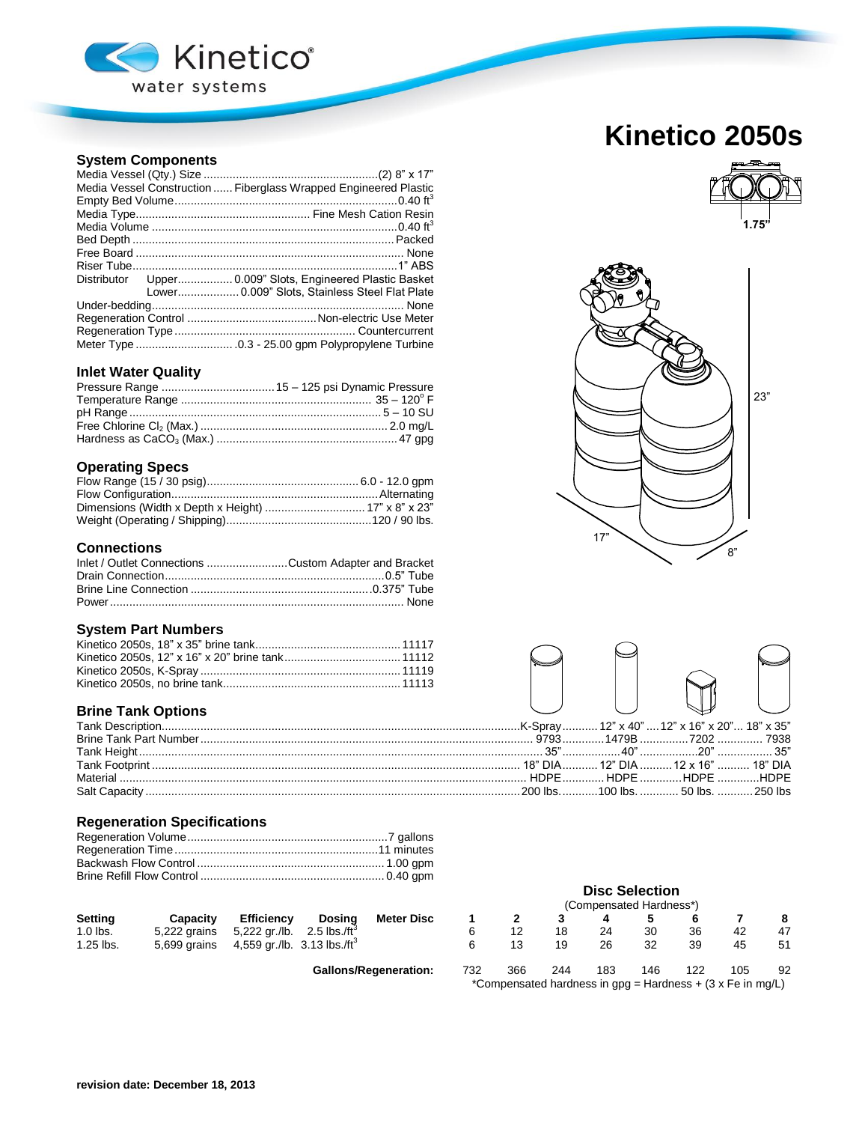

# **System Components**

|  | Media Vessel Construction  Fiberglass Wrapped Engineered Plastic |
|--|------------------------------------------------------------------|
|  |                                                                  |
|  |                                                                  |
|  |                                                                  |
|  |                                                                  |
|  |                                                                  |
|  |                                                                  |
|  | Distributor Upper 0.009" Slots, Engineered Plastic Basket        |
|  | Lower 0.009" Slots, Stainless Steel Flat Plate                   |
|  |                                                                  |
|  |                                                                  |
|  |                                                                  |
|  |                                                                  |

### **Inlet Water Quality**

### **Operating Specs**

# **Connections**

| Inlet / Outlet Connections Custom Adapter and Bracket |  |
|-------------------------------------------------------|--|
|                                                       |  |
|                                                       |  |
|                                                       |  |

### **System Part Numbers**

# **Brine Tank Options**

## **Regeneration Specifications**

| Setting    | Capacity     | <b>Efficiency</b>                                   | Dosina | <b>Meter Disc</b> |  |    |    |    |     |                |
|------------|--------------|-----------------------------------------------------|--------|-------------------|--|----|----|----|-----|----------------|
| $1.0$ lbs. |              | 5,222 grains 5,222 gr./lb. 2.5 lbs./ft <sup>3</sup> |        |                   |  |    | 30 | 36 | -42 | $\overline{4}$ |
| 1.25 lbs.  | 5,699 grains | 4,559 gr./lb. 3.13 lbs./ft <sup>3</sup>             |        |                   |  | 26 |    | 39 | 45  |                |

Gallons/Regeneration: 73

# **Kinetico 2050s**







|  | 35"…………………40"………………20" ………………… 35" |  |
|--|------------------------------------|--|
|  | 18" DIA 12" DIA 12 x 16"  18" DIA  |  |
|  | HDPE  HDPE HDPE HDPE               |  |
|  | 200 lbs. 100 lbs. 50 lbs. 250 lbs  |  |
|  |                                    |  |

# **Disc Selection**

| (Compensated Hardness*) |                                                              |     |     |     |     |     |    |
|-------------------------|--------------------------------------------------------------|-----|-----|-----|-----|-----|----|
| 1                       |                                                              |     |     |     |     |     |    |
| 6                       | 12                                                           | 18  | 24  | 30  | 36  | 42  | 47 |
| 6                       | 13                                                           | 19  | 26  | 32  | 39  | 45  | 51 |
| 32                      | 366                                                          | 244 | 183 | 146 | 122 | 105 | 92 |
|                         | *Compensated hardness in $gpg =$ Hardness + (3 x Fe in mg/L) |     |     |     |     |     |    |